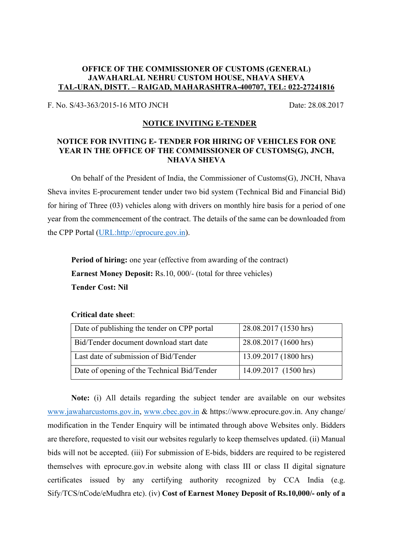## **OFFICE OF THE COMMISSIONER OF CUSTOMS (GENERAL) JAWAHARLAL NEHRU CUSTOM HOUSE, NHAVA SHEVA TAL-URAN, DISTT. – RAIGAD, MAHARASHTRA-400707, TEL: 022-27241816**

F. No. S/43-363/2015-16 MTO JNCH Date: 28.08.2017

## **NOTICE INVITING E-TENDER**

## **NOTICE FOR INVITING E- TENDER FOR HIRING OF VEHICLES FOR ONE YEAR IN THE OFFICE OF THE COMMISSIONER OF CUSTOMS(G), JNCH, NHAVA SHEVA**

On behalf of the President of India, the Commissioner of Customs(G), JNCH, Nhava Sheva invites E-procurement tender under two bid system (Technical Bid and Financial Bid) for hiring of Three (03) vehicles along with drivers on monthly hire basis for a period of one year from the commencement of the contract. The details of the same can be downloaded from the CPP Portal ([URL:http://eprocure.gov.in\)](URL:http://eprocure.gov.in).

**Period of hiring:** one year (effective from awarding of the contract) **Earnest Money Deposit:** Rs.10, 000/- (total for three vehicles) **Tender Cost: Nil**

## **Critical date sheet**:

| Date of publishing the tender on CPP portal | 28.08.2017 (1530 hrs) |
|---------------------------------------------|-----------------------|
| Bid/Tender document download start date     | 28.08.2017 (1600 hrs) |
| Last date of submission of Bid/Tender       | 13.09.2017 (1800 hrs) |
| Date of opening of the Technical Bid/Tender | 14.09.2017 (1500 hrs) |

**Note:** (i) All details regarding the subject tender are available on our websites [www.jawaharcustoms.gov.in,](http://www.jawaharcustoms.gov.in) [www.cbec.gov.in](http://www.cbec.gov.in) & https://www.eprocure.gov.in. Any change/ modification in the Tender Enquiry will be intimated through above Websites only. Bidders are therefore, requested to visit our websites regularly to keep themselves updated. (ii) Manual bids will not be accepted. (iii) For submission of E-bids, bidders are required to be registered themselves with eprocure.gov.in website along with class III or class II digital signature certificates issued by any certifying authority recognized by CCA India (e.g. Sify/TCS/nCode/eMudhra etc). (iv) **Cost of Earnest Money Deposit of Rs.10,000/- only of a**